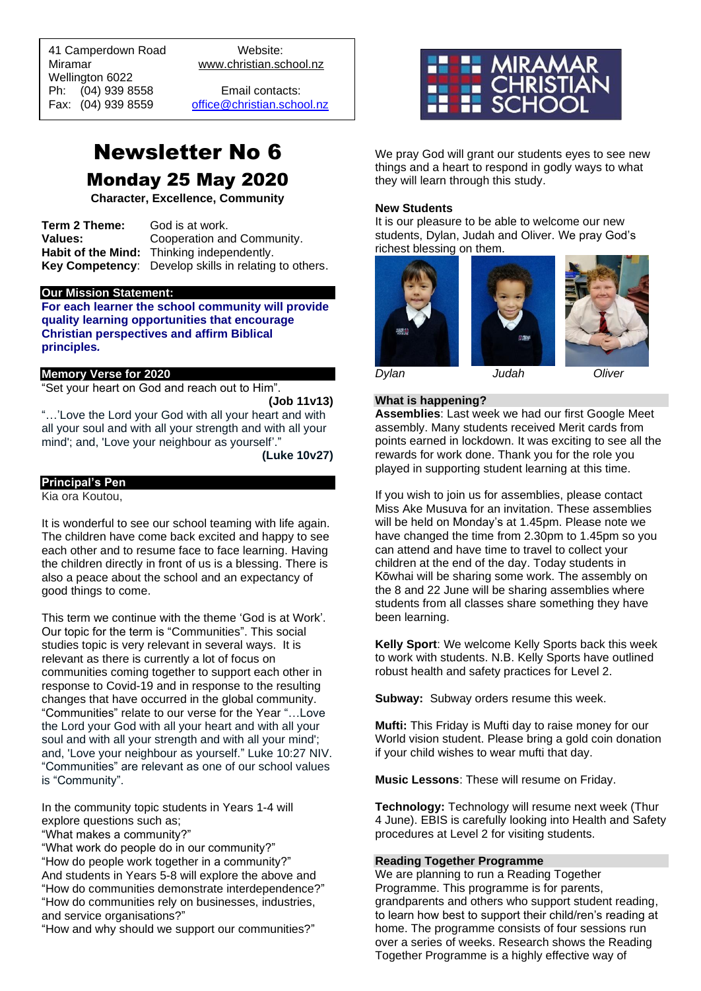41 Camperdown Road Website: Miramar www.christian.school.nz Wellington 6022 Ph: (04) 939 8558 Email contacts:

 $\overline{a}$ 

Fax: (04) 939 8559 [office@christian.school.nz](mailto:office@christian.school.nz)

# Newsletter No 6 Monday 25 May 2020

**Character, Excellence, Community**

**Term 2 Theme:** God is at work. **Values:** Cooperation and Community. **Habit of the Mind:** Thinking independently. **Key Competency**: Develop skills in relating to others.

#### **Our Mission Statement:**

**For each learner the school community will provide quality learning opportunities that encourage Christian perspectives and affirm Biblical principles***.*

#### **Memory Verse for 2020**

"Set your heart on God and reach out to Him".

**(Job 11v13)**

"…'Love the Lord your God with all your heart and with all your soul and with all your strength and with all your mind'; and, 'Love your neighbour as yourself'."

**(Luke 10v27)**

#### **Principal's Pen**

Kia ora Koutou,

It is wonderful to see our school teaming with life again. The children have come back excited and happy to see each other and to resume face to face learning. Having the children directly in front of us is a blessing. There is also a peace about the school and an expectancy of good things to come.

This term we continue with the theme 'God is at Work'. Our topic for the term is "Communities". This social studies topic is very relevant in several ways. It is relevant as there is currently a lot of focus on communities coming together to support each other in response to Covid-19 and in response to the resulting changes that have occurred in the global community. "Communities" relate to our verse for the Year "…Love the Lord your God with all your heart and with all your soul and with all your strength and with all your mind'; and, 'Love your neighbour as yourself." Luke 10:27 NIV. "Communities" are relevant as one of our school values is "Community".

In the community topic students in Years 1-4 will explore questions such as;

"What makes a community?"

"What work do people do in our community?" "How do people work together in a community?" And students in Years 5-8 will explore the above and "How do communities demonstrate interdependence?" "How do communities rely on businesses, industries, and service organisations?"

"How and why should we support our communities?"



We pray God will grant our students eyes to see new things and a heart to respond in godly ways to what they will learn through this study.

#### **New Students**

It is our pleasure to be able to welcome our new students, Dylan, Judah and Oliver. We pray God's richest blessing on them.







*Dylan Judah Oliver*

## **What is happening?**

**Assemblies**: Last week we had our first Google Meet assembly. Many students received Merit cards from points earned in lockdown. It was exciting to see all the rewards for work done. Thank you for the role you played in supporting student learning at this time.

If you wish to join us for assemblies, please contact Miss Ake Musuva for an invitation. These assemblies will be held on Monday's at 1.45pm. Please note we have changed the time from 2.30pm to 1.45pm so you can attend and have time to travel to collect your children at the end of the day. Today students in Kōwhai will be sharing some work. The assembly on the 8 and 22 June will be sharing assemblies where students from all classes share something they have been learning.

**Kelly Sport**: We welcome Kelly Sports back this week to work with students. N.B. Kelly Sports have outlined robust health and safety practices for Level 2.

**Subway:** Subway orders resume this week.

**Mufti:** This Friday is Mufti day to raise money for our World vision student. Please bring a gold coin donation if your child wishes to wear mufti that day.

**Music Lessons**: These will resume on Friday.

**Technology:** Technology will resume next week (Thur 4 June). EBIS is carefully looking into Health and Safety procedures at Level 2 for visiting students.

#### **Reading Together Programme**

We are planning to run a Reading Together Programme. This programme is for parents, grandparents and others who support student reading, to learn how best to support their child/ren's reading at home. The programme consists of four sessions run over a series of weeks. Research shows the Reading Together Programme is a highly effective way of